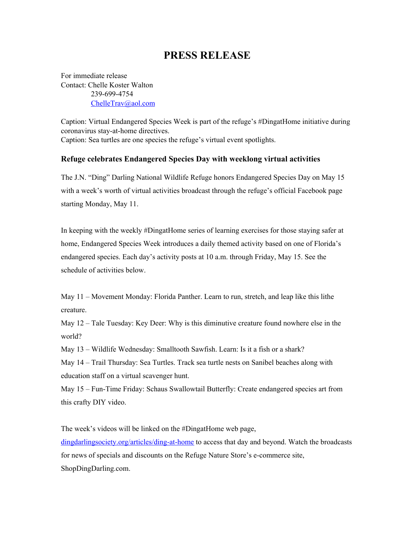## **PRESS RELEASE**

For immediate release Contact: Chelle Koster Walton 239-699-4754 [ChelleTrav@aol.com](mailto:ChelleTrav@aol.com)

Caption: Virtual Endangered Species Week is part of the refuge's #DingatHome initiative during coronavirus stay-at-home directives. Caption: Sea turtles are one species the refuge's virtual event spotlights.

## **Refuge celebrates Endangered Species Day with weeklong virtual activities**

The J.N. "Ding" Darling National Wildlife Refuge honors Endangered Species Day on May 15 with a week's worth of virtual activities broadcast through the refuge's official Facebook page starting Monday, May 11.

In keeping with the weekly #DingatHome series of learning exercises for those staying safer at home, Endangered Species Week introduces a daily themed activity based on one of Florida's endangered species. Each day's activity posts at 10 a.m. through Friday, May 15. See the schedule of activities below.

May 11 – Movement Monday: Florida Panther. Learn to run, stretch, and leap like this lithe creature.

May 12 – Tale Tuesday: Key Deer: Why is this diminutive creature found nowhere else in the world?

May 13 – Wildlife Wednesday: Smalltooth Sawfish. Learn: Is it a fish or a shark?

May 14 – Trail Thursday: Sea Turtles. Track sea turtle nests on Sanibel beaches along with education staff on a virtual scavenger hunt.

May 15 – Fun-Time Friday: Schaus Swallowtail Butterfly: Create endangered species art from this crafty DIY video.

The week's videos will be linked on the #DingatHome web page,

[dingdarlingsociety.org/articles/ding-at-home](https://www.dingdarlingsociety.org/articles/ding-at-home) to access that day and beyond. Watch the broadcasts for news of specials and discounts on the Refuge Nature Store's e-commerce site, ShopDingDarling.com.